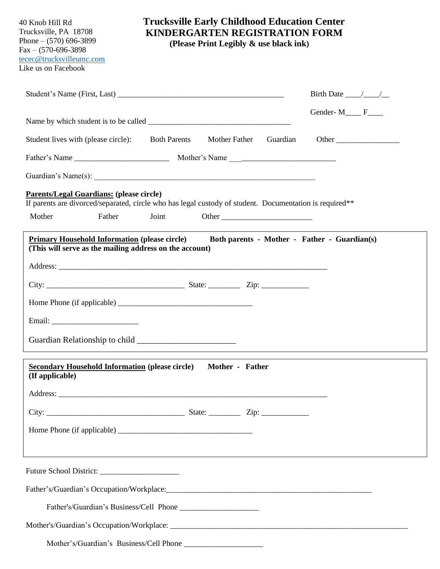40 Knob Hill Rd Trucksville, PA 18708 Phone – (570) 696-3899 Fax – (570-696-3898 [tecec@trucksvilleumc.com](mailto:tecec@trucksvilleumc.com) Like us on Facebook

## **Trucksville Early Childhood Education Center KINDERGARTEN REGISTRATION FORM**

 **(Please Print Legibly & use black ink)**

|                                                                                                                                                            |        |       |                 |          | Birth Date $\_\_\_\_\_\_\_\_\_\_\_\$                                              |
|------------------------------------------------------------------------------------------------------------------------------------------------------------|--------|-------|-----------------|----------|-----------------------------------------------------------------------------------|
|                                                                                                                                                            |        |       |                 |          | Gender- $M$ <sub>____</sub> $F$ <sub>____</sub>                                   |
| Student lives with (please circle): Both Parents                                                                                                           |        |       | Mother Father   | Guardian | Other                                                                             |
|                                                                                                                                                            |        |       |                 |          |                                                                                   |
|                                                                                                                                                            |        |       |                 |          |                                                                                   |
| <b>Parents/Legal Guardians: (please circle)</b><br>If parents are divorced/separated, circle who has legal custody of student. Documentation is required** |        |       |                 |          |                                                                                   |
| Mother                                                                                                                                                     | Father | Joint |                 |          |                                                                                   |
| <b>Primary Household Information (please circle)</b><br>(This will serve as the mailing address on the account)                                            |        |       |                 |          | Both parents - Mother - Father - Guardian(s)                                      |
|                                                                                                                                                            |        |       |                 |          |                                                                                   |
|                                                                                                                                                            |        |       |                 |          |                                                                                   |
|                                                                                                                                                            |        |       |                 |          |                                                                                   |
|                                                                                                                                                            |        |       |                 |          |                                                                                   |
|                                                                                                                                                            |        |       |                 |          |                                                                                   |
| <b>Secondary Household Information (please circle)</b><br>(If applicable)                                                                                  |        |       | Mother - Father |          |                                                                                   |
|                                                                                                                                                            |        |       |                 |          |                                                                                   |
|                                                                                                                                                            |        |       |                 |          |                                                                                   |
|                                                                                                                                                            |        |       |                 |          |                                                                                   |
|                                                                                                                                                            |        |       |                 |          | ,我们也不能在这里的时候,我们也不能在这里的时候,我们也不能会在这里的时候,我们也不能会在这里的时候,我们也不能会在这里的时候,我们也不能会在这里的时候,我们也不 |
|                                                                                                                                                            |        |       |                 |          |                                                                                   |
|                                                                                                                                                            |        |       |                 |          |                                                                                   |
|                                                                                                                                                            |        |       |                 |          |                                                                                   |
|                                                                                                                                                            |        |       |                 |          |                                                                                   |